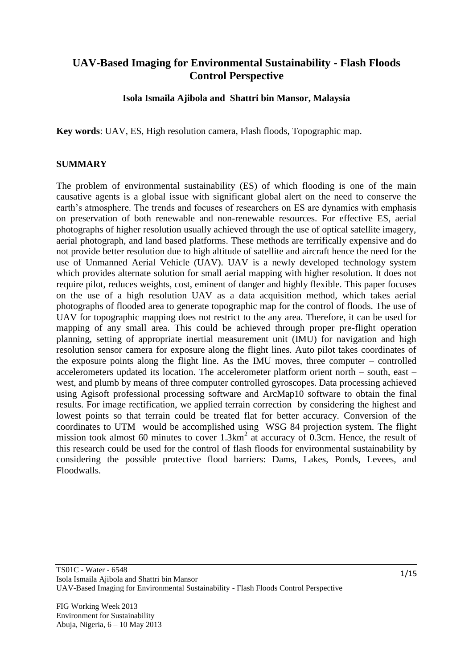# **UAV-Based Imaging for Environmental Sustainability - Flash Floods Control Perspective**

**Isola Ismaila Ajibola and Shattri bin Mansor, Malaysia**

**Key words**: UAV, ES, High resolution camera, Flash floods, Topographic map.

#### **SUMMARY**

The problem of environmental sustainability (ES) of which flooding is one of the main causative agents is a global issue with significant global alert on the need to conserve the earth's atmosphere. The trends and focuses of researchers on ES are dynamics with emphasis on preservation of both renewable and non-renewable resources. For effective ES, aerial photographs of higher resolution usually achieved through the use of optical satellite imagery, aerial photograph, and land based platforms. These methods are terrifically expensive and do not provide better resolution due to high altitude of satellite and aircraft hence the need for the use of Unmanned Aerial Vehicle (UAV). UAV is a newly developed technology system which provides alternate solution for small aerial mapping with higher resolution. It does not require pilot, reduces weights, cost, eminent of danger and highly flexible. This paper focuses on the use of a high resolution UAV as a data acquisition method, which takes aerial photographs of flooded area to generate topographic map for the control of floods. The use of UAV for topographic mapping does not restrict to the any area. Therefore, it can be used for mapping of any small area. This could be achieved through proper pre-flight operation planning, setting of appropriate inertial measurement unit (IMU) for navigation and high resolution sensor camera for exposure along the flight lines. Auto pilot takes coordinates of the exposure points along the flight line. As the IMU moves, three computer – controlled accelerometers updated its location. The accelerometer platform orient north – south, east – west, and plumb by means of three computer controlled gyroscopes. Data processing achieved using Agisoft professional processing software and ArcMap10 software to obtain the final results. For image rectification, we applied terrain correction by considering the highest and lowest points so that terrain could be treated flat for better accuracy. Conversion of the coordinates to UTM would be accomplished using WSG 84 projection system. The flight mission took almost 60 minutes to cover  $1.3 \text{km}^2$  at accuracy of 0.3cm. Hence, the result of this research could be used for the control of flash floods for environmental sustainability by considering the possible protective flood barriers: Dams, Lakes, Ponds, Levees, and Floodwalls.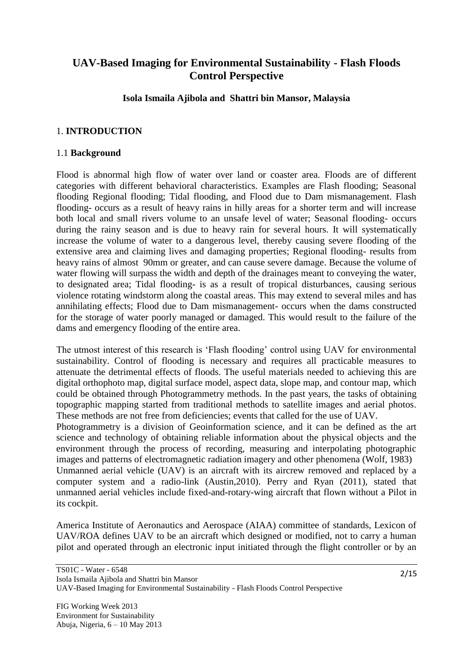# **UAV-Based Imaging for Environmental Sustainability - Flash Floods Control Perspective**

**Isola Ismaila Ajibola and Shattri bin Mansor, Malaysia**

### 1. **INTRODUCTION**

#### 1.1 **Background**

Flood is abnormal high flow of water over land or coaster area. Floods are of different categories with different behavioral characteristics. Examples are Flash flooding; Seasonal flooding Regional flooding; Tidal flooding, and Flood due to Dam mismanagement. Flash flooding- occurs as a result of heavy rains in hilly areas for a shorter term and will increase both local and small rivers volume to an unsafe level of water; Seasonal flooding- occurs during the rainy season and is due to heavy rain for several hours. It will systematically increase the volume of water to a dangerous level, thereby causing severe flooding of the extensive area and claiming lives and damaging properties; Regional flooding- results from heavy rains of almost 90mm or greater, and can cause severe damage. Because the volume of water flowing will surpass the width and depth of the drainages meant to conveying the water, to designated area; Tidal flooding- is as a result of tropical disturbances, causing serious violence rotating windstorm along the coastal areas. This may extend to several miles and has annihilating effects; Flood due to Dam mismanagement- occurs when the dams constructed for the storage of water poorly managed or damaged. This would result to the failure of the dams and emergency flooding of the entire area.

The utmost interest of this research is 'Flash flooding' control using UAV for environmental sustainability. Control of flooding is necessary and requires all practicable measures to attenuate the detrimental effects of floods. The useful materials needed to achieving this are digital orthophoto map, digital surface model, aspect data, slope map, and contour map, which could be obtained through Photogrammetry methods. In the past years, the tasks of obtaining topographic mapping started from traditional methods to satellite images and aerial photos. These methods are not free from deficiencies; events that called for the use of UAV.

Photogrammetry is a division of Geoinformation science, and it can be defined as the art science and technology of obtaining reliable information about the physical objects and the environment through the process of recording, measuring and interpolating photographic images and patterns of electromagnetic radiation imagery and other phenomena (Wolf, 1983) Unmanned aerial vehicle (UAV) is an aircraft with its aircrew removed and replaced by a computer system and a radio-link (Austin,2010). Perry and Ryan (2011), stated that unmanned aerial vehicles include fixed-and-rotary-wing aircraft that flown without a Pilot in its cockpit.

America Institute of Aeronautics and Aerospace (AIAA) committee of standards, Lexicon of UAV/ROA defines UAV to be an aircraft which designed or modified, not to carry a human pilot and operated through an electronic input initiated through the flight controller or by an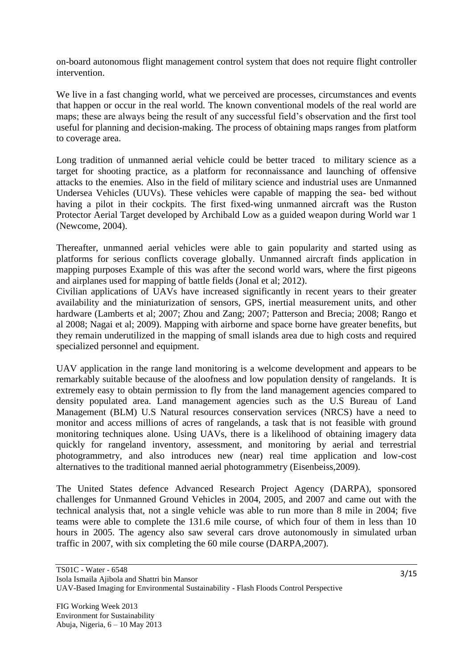on-board autonomous flight management control system that does not require flight controller intervention.

We live in a fast changing world, what we perceived are processes, circumstances and events that happen or occur in the real world. The known conventional models of the real world are maps; these are always being the result of any successful field"s observation and the first tool useful for planning and decision-making. The process of obtaining maps ranges from platform to coverage area.

Long tradition of unmanned aerial vehicle could be better traced to military science as a target for shooting practice, as a platform for reconnaissance and launching of offensive attacks to the enemies. Also in the field of military science and industrial uses are Unmanned Undersea Vehicles (UUVs). These vehicles were capable of mapping the sea- bed without having a pilot in their cockpits. The first fixed-wing unmanned aircraft was the Ruston Protector Aerial Target developed by Archibald Low as a guided weapon during World war 1 (Newcome, 2004).

Thereafter, unmanned aerial vehicles were able to gain popularity and started using as platforms for serious conflicts coverage globally. Unmanned aircraft finds application in mapping purposes Example of this was after the second world wars, where the first pigeons and airplanes used for mapping of battle fields (Jonal et al; 2012).

Civilian applications of UAVs have increased significantly in recent years to their greater availability and the miniaturization of sensors, GPS, inertial measurement units, and other hardware (Lamberts et al; 2007; Zhou and Zang; 2007; Patterson and Brecia; 2008; Rango et al 2008; Nagai et al; 2009). Mapping with airborne and space borne have greater benefits, but they remain underutilized in the mapping of small islands area due to high costs and required specialized personnel and equipment.

UAV application in the range land monitoring is a welcome development and appears to be remarkably suitable because of the aloofness and low population density of rangelands. It is extremely easy to obtain permission to fly from the land management agencies compared to density populated area. Land management agencies such as the U.S Bureau of Land Management (BLM) U.S Natural resources conservation services (NRCS) have a need to monitor and access millions of acres of rangelands, a task that is not feasible with ground monitoring techniques alone. Using UAVs, there is a likelihood of obtaining imagery data quickly for rangeland inventory, assessment, and monitoring by aerial and terrestrial photogrammetry, and also introduces new (near) real time application and low-cost alternatives to the traditional manned aerial photogrammetry (Eisenbeiss,2009).

The United States defence Advanced Research Project Agency (DARPA), sponsored challenges for Unmanned Ground Vehicles in 2004, 2005, and 2007 and came out with the technical analysis that, not a single vehicle was able to run more than 8 mile in 2004; five teams were able to complete the 131.6 mile course, of which four of them in less than 10 hours in 2005. The agency also saw several cars drove autonomously in simulated urban traffic in 2007, with six completing the 60 mile course (DARPA,2007).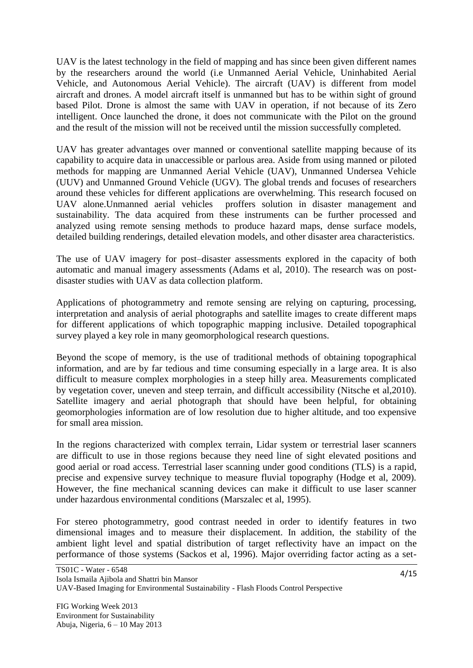UAV is the latest technology in the field of mapping and has since been given different names by the researchers around the world (i.e Unmanned Aerial Vehicle, Uninhabited Aerial Vehicle, and Autonomous Aerial Vehicle). The aircraft (UAV) is different from model aircraft and drones. A model aircraft itself is unmanned but has to be within sight of ground based Pilot. Drone is almost the same with UAV in operation, if not because of its Zero intelligent. Once launched the drone, it does not communicate with the Pilot on the ground and the result of the mission will not be received until the mission successfully completed.

UAV has greater advantages over manned or conventional satellite mapping because of its capability to acquire data in unaccessible or parlous area. Aside from using manned or piloted methods for mapping are Unmanned Aerial Vehicle (UAV), Unmanned Undersea Vehicle (UUV) and Unmanned Ground Vehicle (UGV). The global trends and focuses of researchers around these vehicles for different applications are overwhelming. This research focused on UAV alone.Unmanned aerial vehicles proffers solution in disaster management and sustainability. The data acquired from these instruments can be further processed and analyzed using remote sensing methods to produce hazard maps, dense surface models, detailed building renderings, detailed elevation models, and other disaster area characteristics.

The use of UAV imagery for post–disaster assessments explored in the capacity of both automatic and manual imagery assessments (Adams et al, 2010). The research was on postdisaster studies with UAV as data collection platform.

Applications of photogrammetry and remote sensing are relying on capturing, processing, interpretation and analysis of aerial photographs and satellite images to create different maps for different applications of which topographic mapping inclusive. Detailed topographical survey played a key role in many geomorphological research questions.

Beyond the scope of memory, is the use of traditional methods of obtaining topographical information, and are by far tedious and time consuming especially in a large area. It is also difficult to measure complex morphologies in a steep hilly area. Measurements complicated by vegetation cover, uneven and steep terrain, and difficult accessibility (Nitsche et al,2010). Satellite imagery and aerial photograph that should have been helpful, for obtaining geomorphologies information are of low resolution due to higher altitude, and too expensive for small area mission.

In the regions characterized with complex terrain, Lidar system or terrestrial laser scanners are difficult to use in those regions because they need line of sight elevated positions and good aerial or road access. Terrestrial laser scanning under good conditions (TLS) is a rapid, precise and expensive survey technique to measure fluvial topography (Hodge et al, 2009). However, the fine mechanical scanning devices can make it difficult to use laser scanner under hazardous environmental conditions (Marszalec et al, 1995).

For stereo photogrammetry, good contrast needed in order to identify features in two dimensional images and to measure their displacement. In addition, the stability of the ambient light level and spatial distribution of target reflectivity have an impact on the performance of those systems (Sackos et al, 1996). Major overriding factor acting as a set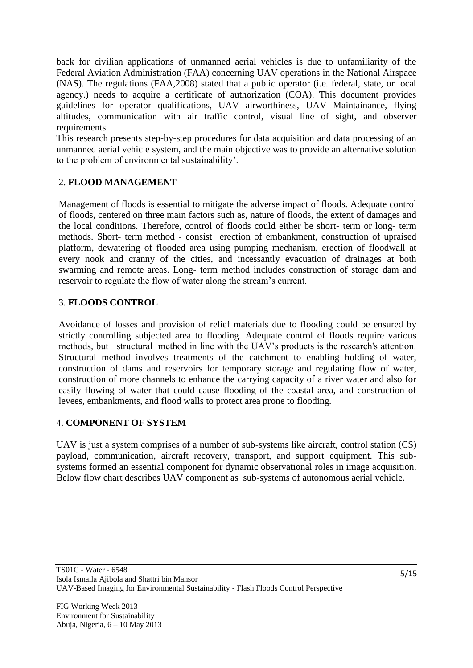back for civilian applications of unmanned aerial vehicles is due to unfamiliarity of the Federal Aviation Administration (FAA) concerning UAV operations in the National Airspace (NAS). The regulations (FAA,2008) stated that a public operator (i.e. federal, state, or local agency.) needs to acquire a certificate of authorization (COA). This document provides guidelines for operator qualifications, UAV airworthiness, UAV Maintainance, flying altitudes, communication with air traffic control, visual line of sight, and observer requirements.

This research presents step-by-step procedures for data acquisition and data processing of an unmanned aerial vehicle system, and the main objective was to provide an alternative solution to the problem of environmental sustainability".

## 2. **FLOOD MANAGEMENT**

Management of floods is essential to mitigate the adverse impact of floods. Adequate control of floods, centered on three main factors such as, nature of floods, the extent of damages and the local conditions. Therefore, control of floods could either be short- term or long- term methods. Short- term method - consist erection of embankment, construction of upraised platform, dewatering of flooded area using pumping mechanism, erection of floodwall at every nook and cranny of the cities, and incessantly evacuation of drainages at both swarming and remote areas. Long- term method includes construction of storage dam and reservoir to regulate the flow of water along the stream's current.

## 3. **FLOODS CONTROL**

Avoidance of losses and provision of relief materials due to flooding could be ensured by strictly controlling subjected area to flooding. Adequate control of floods require various methods, but structural method in line with the UAV"s products is the research's attention. Structural method involves treatments of the catchment to enabling holding of water, construction of dams and reservoirs for temporary storage and regulating flow of water, construction of more channels to enhance the carrying capacity of a river water and also for easily flowing of water that could cause flooding of the coastal area, and construction of levees, embankments, and flood walls to protect area prone to flooding.

## 4. **COMPONENT OF SYSTEM**

UAV is just a system comprises of a number of sub-systems like aircraft, control station (CS) payload, communication, aircraft recovery, transport, and support equipment. This subsystems formed an essential component for dynamic observational roles in image acquisition. Below flow chart describes UAV component as sub-systems of autonomous aerial vehicle.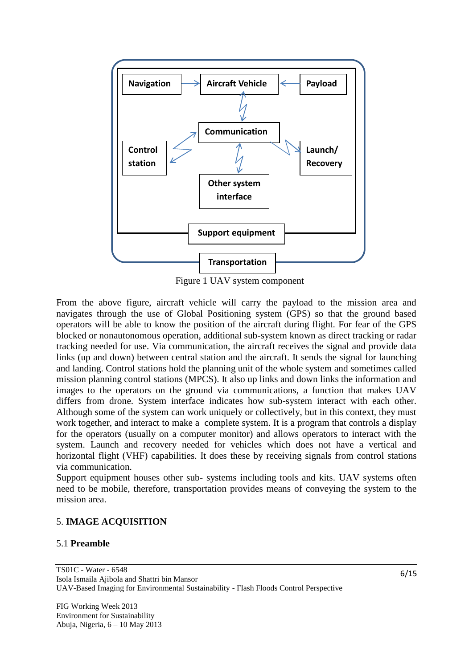

Figure 1 UAV system component

From the above figure, aircraft vehicle will carry the payload to the mission area and navigates through the use of Global Positioning system (GPS) so that the ground based operators will be able to know the position of the aircraft during flight. For fear of the GPS blocked or nonautonomous operation, additional sub-system known as direct tracking or radar tracking needed for use. Via communication, the aircraft receives the signal and provide data links (up and down) between central station and the aircraft. It sends the signal for launching and landing. Control stations hold the planning unit of the whole system and sometimes called mission planning control stations (MPCS). It also up links and down links the information and images to the operators on the ground via communications, a function that makes UAV differs from drone. System interface indicates how sub-system interact with each other. Although some of the system can work uniquely or collectively, but in this context, they must work together, and interact to make a complete system. It is a program that controls a display for the operators (usually on a computer monitor) and allows operators to interact with the system. Launch and recovery needed for vehicles which does not have a vertical and horizontal flight (VHF) capabilities. It does these by receiving signals from control stations via communication.

Support equipment houses other sub- systems including tools and kits. UAV systems often need to be mobile, therefore, transportation provides means of conveying the system to the mission area.

#### 5. **IMAGE ACQUISITION**

#### 5.1 **Preamble**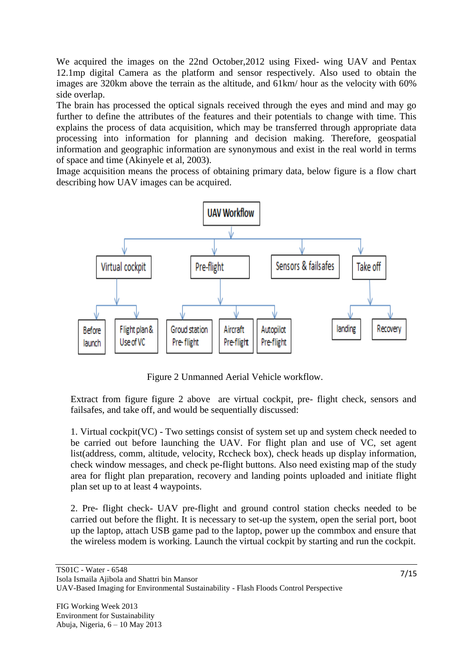We acquired the images on the 22nd October,2012 using Fixed- wing UAV and Pentax 12.1mp digital Camera as the platform and sensor respectively. Also used to obtain the images are 320km above the terrain as the altitude, and 61km/ hour as the velocity with 60% side overlap.

The brain has processed the optical signals received through the eyes and mind and may go further to define the attributes of the features and their potentials to change with time. This explains the process of data acquisition, which may be transferred through appropriate data processing into information for planning and decision making. Therefore, geospatial information and geographic information are synonymous and exist in the real world in terms of space and time (Akinyele et al, 2003).

Image acquisition means the process of obtaining primary data, below figure is a flow chart describing how UAV images can be acquired.



Figure 2 Unmanned Aerial Vehicle workflow.

Extract from figure figure 2 above are virtual cockpit, pre- flight check, sensors and failsafes, and take off, and would be sequentially discussed:

1. Virtual cockpit(VC) - Two settings consist of system set up and system check needed to be carried out before launching the UAV. For flight plan and use of VC, set agent list(address, comm, altitude, velocity, Rccheck box), check heads up display information, check window messages, and check pe-flight buttons. Also need existing map of the study area for flight plan preparation, recovery and landing points uploaded and initiate flight plan set up to at least 4 waypoints.

2. Pre- flight check- UAV pre-flight and ground control station checks needed to be carried out before the flight. It is necessary to set-up the system, open the serial port, boot up the laptop, attach USB game pad to the laptop, power up the commbox and ensure that the wireless modem is working. Launch the virtual cockpit by starting and run the cockpit.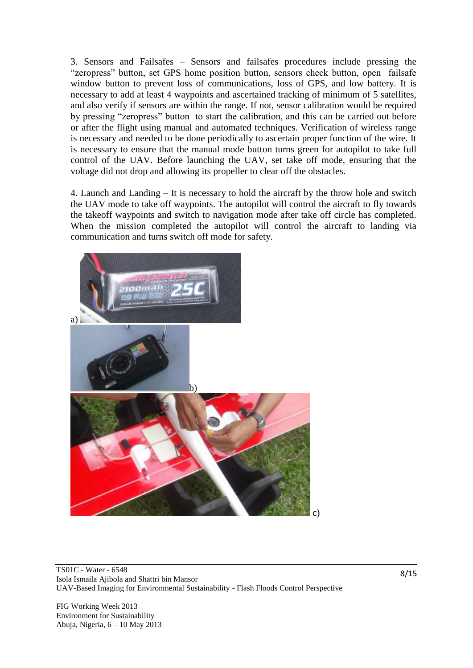3. Sensors and Failsafes – Sensors and failsafes procedures include pressing the "zeropress" button, set GPS home position button, sensors check button, open failsafe window button to prevent loss of communications, loss of GPS, and low battery. It is necessary to add at least 4 waypoints and ascertained tracking of minimum of 5 satellites, and also verify if sensors are within the range. If not, sensor calibration would be required by pressing "zeropress" button to start the calibration, and this can be carried out before or after the flight using manual and automated techniques. Verification of wireless range is necessary and needed to be done periodically to ascertain proper function of the wire. It is necessary to ensure that the manual mode button turns green for autopilot to take full control of the UAV. Before launching the UAV, set take off mode, ensuring that the voltage did not drop and allowing its propeller to clear off the obstacles.

4. Launch and Landing – It is necessary to hold the aircraft by the throw hole and switch the UAV mode to take off waypoints. The autopilot will control the aircraft to fly towards the takeoff waypoints and switch to navigation mode after take off circle has completed. When the mission completed the autopilot will control the aircraft to landing via communication and turns switch off mode for safety.



TS01C - Water - 6548 Isola Ismaila Ajibola and Shattri bin Mansor UAV-Based Imaging for Environmental Sustainability - Flash Floods Control Perspective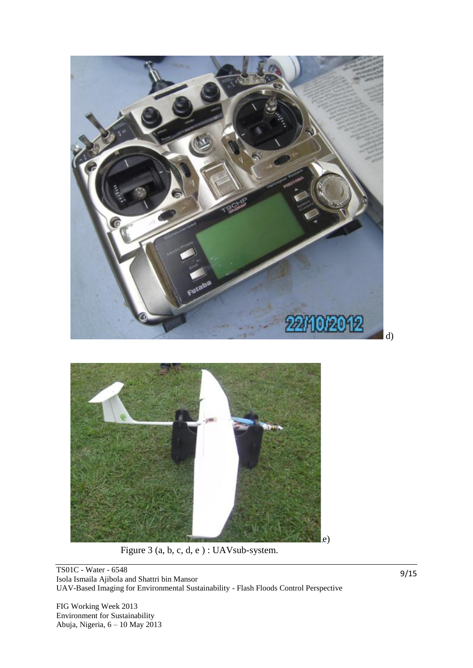

Figure 3 (a, b, c, d, e ) : UAVsub-system.

TS01C - Water - 6548 Isola Ismaila Ajibola and Shattri bin Mansor UAV-Based Imaging for Environmental Sustainability - Flash Floods Control Perspective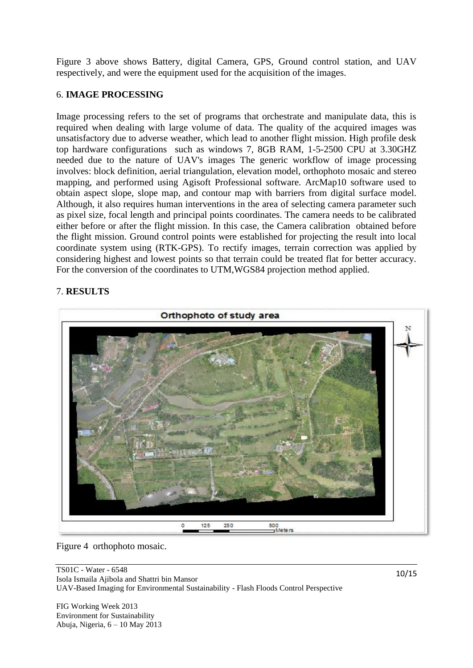Figure 3 above shows Battery, digital Camera, GPS, Ground control station, and UAV respectively, and were the equipment used for the acquisition of the images.

### 6. **IMAGE PROCESSING**

Image processing refers to the set of programs that orchestrate and manipulate data, this is required when dealing with large volume of data. The quality of the acquired images was unsatisfactory due to adverse weather, which lead to another flight mission. High profile desk top hardware configurations such as windows 7, 8GB RAM, 1-5-2500 CPU at 3.30GHZ needed due to the nature of UAV's images The generic workflow of image processing involves: block definition, aerial triangulation, elevation model, orthophoto mosaic and stereo mapping, and performed using Agisoft Professional software. ArcMap10 software used to obtain aspect slope, slope map, and contour map with barriers from digital surface model. Although, it also requires human interventions in the area of selecting camera parameter such as pixel size, focal length and principal points coordinates. The camera needs to be calibrated either before or after the flight mission. In this case, the Camera calibration obtained before the flight mission. Ground control points were established for projecting the result into local coordinate system using (RTK-GPS). To rectify images, terrain correction was applied by considering highest and lowest points so that terrain could be treated flat for better accuracy. For the conversion of the coordinates to UTM,WGS84 projection method applied.

### 7. **RESULTS**



Figure 4 orthophoto mosaic.

TS01C - Water - 6548 Isola Ismaila Ajibola and Shattri bin Mansor UAV-Based Imaging for Environmental Sustainability - Flash Floods Control Perspective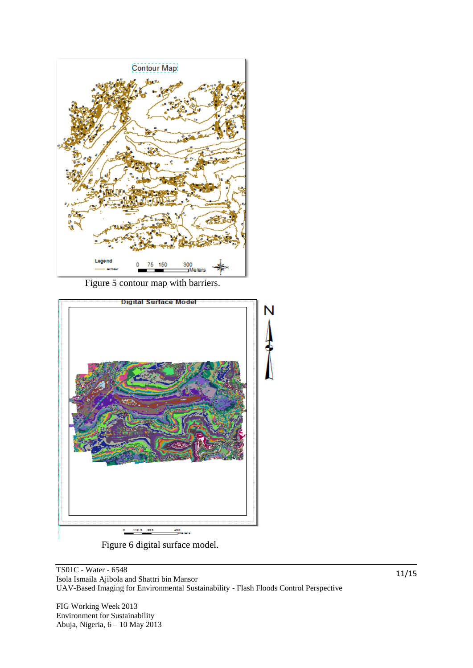

Figure 5 contour map with barriers.



Figure 6 digital surface model.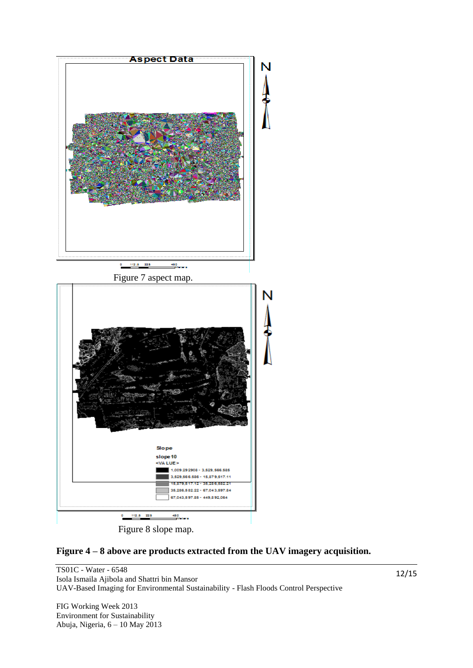

Figure 8 slope map.



TS01C - Water - 6548 Isola Ismaila Ajibola and Shattri bin Mansor UAV-Based Imaging for Environmental Sustainability - Flash Floods Control Perspective

FIG Working Week 2013 Environment for Sustainability Abuja, Nigeria, 6 – 10 May 2013 12/15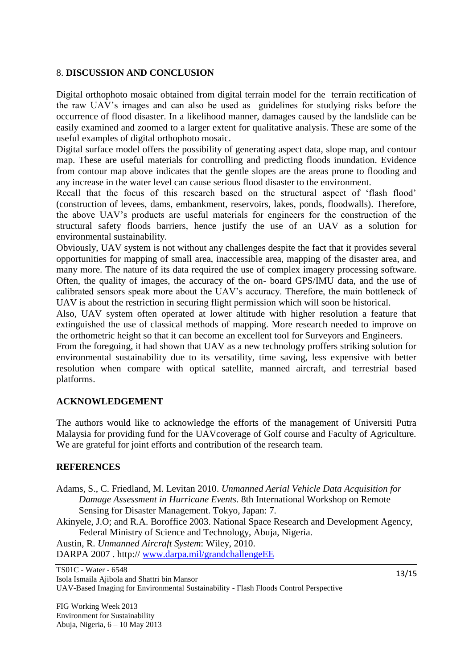### 8. **DISCUSSION AND CONCLUSION**

Digital orthophoto mosaic obtained from digital terrain model for the terrain rectification of the raw UAV"s images and can also be used as guidelines for studying risks before the occurrence of flood disaster. In a likelihood manner, damages caused by the landslide can be easily examined and zoomed to a larger extent for qualitative analysis. These are some of the useful examples of digital orthophoto mosaic.

Digital surface model offers the possibility of generating aspect data, slope map, and contour map. These are useful materials for controlling and predicting floods inundation. Evidence from contour map above indicates that the gentle slopes are the areas prone to flooding and any increase in the water level can cause serious flood disaster to the environment.

Recall that the focus of this research based on the structural aspect of "flash flood" (construction of levees, dams, embankment, reservoirs, lakes, ponds, floodwalls). Therefore, the above UAV"s products are useful materials for engineers for the construction of the structural safety floods barriers, hence justify the use of an UAV as a solution for environmental sustainability.

Obviously, UAV system is not without any challenges despite the fact that it provides several opportunities for mapping of small area, inaccessible area, mapping of the disaster area, and many more. The nature of its data required the use of complex imagery processing software. Often, the quality of images, the accuracy of the on- board GPS/IMU data, and the use of calibrated sensors speak more about the UAV"s accuracy. Therefore, the main bottleneck of UAV is about the restriction in securing flight permission which will soon be historical.

Also, UAV system often operated at lower altitude with higher resolution a feature that extinguished the use of classical methods of mapping. More research needed to improve on the orthometric height so that it can become an excellent tool for Surveyors and Engineers.

From the foregoing, it had shown that UAV as a new technology proffers striking solution for environmental sustainability due to its versatility, time saving, less expensive with better resolution when compare with optical satellite, manned aircraft, and terrestrial based platforms.

#### **ACKNOWLEDGEMENT**

The authors would like to acknowledge the efforts of the management of Universiti Putra Malaysia for providing fund for the UAVcoverage of Golf course and Faculty of Agriculture. We are grateful for joint efforts and contribution of the research team.

#### **REFERENCES**

- Adams, S., C. Friedland, M. Levitan 2010. *Unmanned Aerial Vehicle Data Acquisition for Damage Assessment in Hurricane Events*. 8th International Workshop on Remote Sensing for Disaster Management. Tokyo, Japan: 7.
- Akinyele, J.O; and R.A. Boroffice 2003. National Space Research and Development Agency, Federal Ministry of Science and Technology, Abuja, Nigeria.

Austin, R. *Unmanned Aircraft System*: Wiley, 2010.

DARPA 2007. http:// [www.darpa.mil/grandchallengeEE](http://www.darpa.mil/grandchallengeE)

TS01C - Water - 6548

Isola Ismaila Ajibola and Shattri bin Mansor

UAV-Based Imaging for Environmental Sustainability - Flash Floods Control Perspective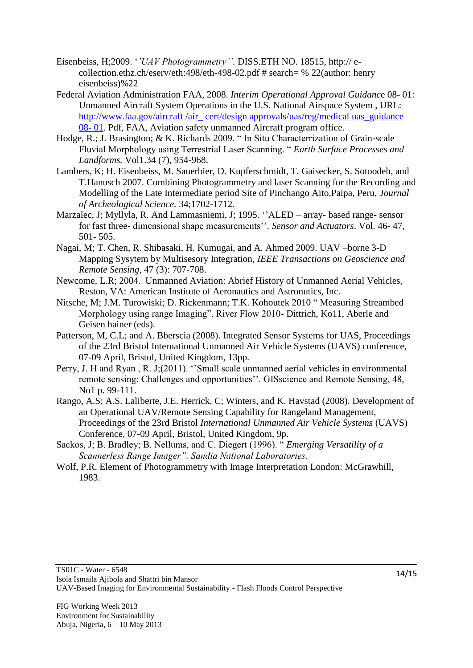- Eisenbeiss, H;2009. "*'UAV Photogrammetry''*. DISS.ETH NO. 18515, http:// ecollection.ethz.ch/eserv/eth:498/eth-498-02.pdf # search= % 22(author: henry eisenbeiss)%22
- Federal Aviation Administration FAA, 2008. *Interim Operational Approval Guidanc*e 08- 01: Unmanned Aircraft System Operations in the U.S. National Airspace System , URL: [http://www.faa.gov/aircraft /air\\_ cert/design approvals/uas/reg/medical uas\\_guidance](http://www.faa.gov/aircraft%20/air_%20cert/design%20approvals/uas/reg/medical%20uas_guidance%2008-%2001)  [08-](http://www.faa.gov/aircraft%20/air_%20cert/design%20approvals/uas/reg/medical%20uas_guidance%2008-%2001) 01. Pdf, FAA, Aviation safety unmanned Aircraft program office.
- Hodge, R.; J. Brasington; & K. Richards 2009. " In Situ Characterrization of Grain-scale Fluvial Morphology using Terrestrial Laser Scanning. " *Earth Surface Processes and Landforms.* Vol1.34 (7), 954-968.
- Lambers, K; H. Eisenbeiss, M. Sauerbier, D. Kupferschmidt, T. Gaisecker, S. Sotoodeh, and T.Hanusch 2007. Combining Photogrammetry and laser Scanning for the Recording and Modelling of the Late Intermediate period Site of Pinchango Aito,Paipa, Peru, *Journal of Archeological Science.* 34;1702-1712.
- Marzalec, J; Myllyla, R. And Lammasniemi, J; 1995. "ALED array- based range- sensor for fast three- dimensional shape measurements"". *Sensor and Actuators*. Vol. 46- 47, 501- 505.
- Nagai, M; T. Chen, R. Shibasaki, H. Kumugai, and A. Ahmed 2009. UAV –borne 3-D Mapping Sysytem by Multisesory Integration, *IEEE Transactions on Geoscience and Remote Sensing*, 47 (3): 707-708.
- Newcome, L.R; 2004. Unmanned Aviation: Abrief History of Unmanned Aerial Vehicles, Reston, VA: American Institute of Aeronautics and Astronutics, Inc.
- Nitsche, M; J.M. Turowiski; D. Rickenmann; T.K. Kohoutek 2010 " Measuring Streambed Morphology using range Imaging". River Flow 2010- Dittrich, Ko11, Aberle and Geisen hainer (eds).
- Patterson, M, C.L; and A. Bberscia (2008). Integrated Sensor Systems for UAS, Proceedings of the 23rd Bristol International Unmanned Air Vehicle Systems (UAVS) conference, 07-09 April, Bristol, United Kingdom, 13pp.
- Perry, J. H and Ryan, R. J;(2011). "Small scale unmanned aerial vehicles in environmental remote sensing: Challenges and opportunities". GISscience and Remote Sensing, 48, No1 p. 99-111.
- Rango, A.S; A.S. Laliberte, J.E. Herrick, C; Winters, and K. Havstad (2008). Development of an Operational UAV/Remote Sensing Capability for Rangeland Management, Proceedings of the 23rd Bristol *International Unmanned Air Vehicle Systems* (UAVS) Conference, 07-09 April, Bristol, United Kingdom, 9p.
- Sackos, J; B. Bradley; B. Nellums, and C. Diegert (1996). " *Emerging Versatility of a Scannerless Range Imager". Sandia National Laboratories.*
- Wolf, P.R. Element of Photogrammetry with Image Interpretation London: McGrawhill, 1983.